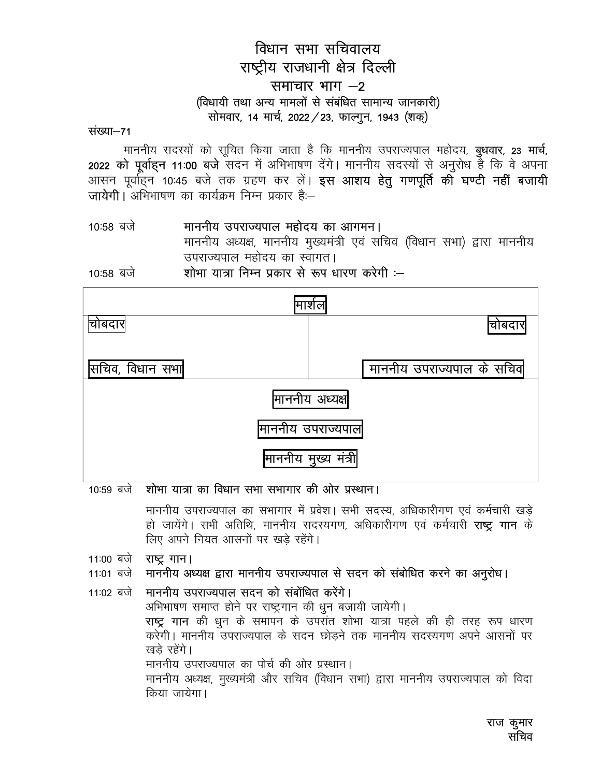# विधान सभा सचिवालय राष्ट्रीय राजधानी क्षेत्र दिल्ली समाचार भाग  $-2$ (विधायी तथा अन्य मामलों से संबंधित सामान्य जानकारी) सोमवार, 14 मार्च, 2022 / 23, फाल्गुन, 1943 (शक्)

संख्या–71

माननीय सदस्यों को सूचित किया जाता है कि माननीय उपराज्यपाल महोदय, **बुधवार, 23 मार्च,** 2022 को पूर्वाहन 11:00 बजे सदन में अभिभाषण देंगे। माननीय सदस्यों से अनुरोध है कि वे अपना आसन पूर्वाहन 10:45 बजे तक ग्रहण कर लें। **इस आशय हेतु गणपूर्ति की घण्टी नहीं बजायी** जायेगी। अभिभाषण का कार्यक्रम निम्न प्रकार है:--

#### माननीय उपराज्यपाल महोदय का आगमन। 10:58 बजे

माननीय अध्यक्ष, माननीय मुख्यमंत्री एवं सचिव (विधान सभा) द्वारा माननीय उपराज्यपाल महोदय का स्वागत।

शोभा यात्रा निम्न प्रकार से रूप धारण करेगी :--10:58 बजे

| मार्शल                            |                           |  |
|-----------------------------------|---------------------------|--|
| चोबदार                            | वोबदारा                   |  |
| सचिव, विधान सभा                   | माननीय उपराज्यपाल के सचिव |  |
| माननीय अध्यक्ष                    |                           |  |
| माननीय उपराज्यपाल <b> </b>        |                           |  |
| <mark>माननीय मुख्य मंत्र</mark> ी |                           |  |

10:59 बजे शोभा यात्रा का विधान सभा सभागार की ओर प्रस्थान।

माननीय उपराज्यपाल का सभागार में प्रवेश। सभी सदस्य, अधिकारीगण एवं कर्मचारी खड़े हो जायेंगे। सभी अतिथि, माननीय सदस्यगण, अधिकारीगण एवं कर्मचारी **राष्ट गान** के लिए अपने नियत आसनों पर खड़े रहेंगे।

11:00 बजे **राष्ट्र गान।** 

#### माननीय अध्यक्ष द्वारा माननीय उपराज्यपाल से सदन को संबोधित करने का अनूरोध। 11:01 बजे

माननीय उपराज्यपाल सदन को संबोधित करेंगे। 11:02 बजे अभिभाषण समाप्त होने पर राष्ट्रगान की धुन बजायी जायेगी।

राष्ट्र गान की धून के समापन के उपरांत शोभा यात्रा पहले की ही तरह रूप धारण करेगी। माननीय उपराज्यपाल के सदन छोडने तक माननीय सदस्यगण अपने आसनों पर ख़त्वे रहेंगे।

माननीय उपराज्यपाल का पोर्च की ओर प्रस्थान।

माननीय अध्यक्ष, मुख्यमंत्री और सचिव (विधान सभा) द्वारा माननीय उपराज्यपाल को विदा किया जायेगा।